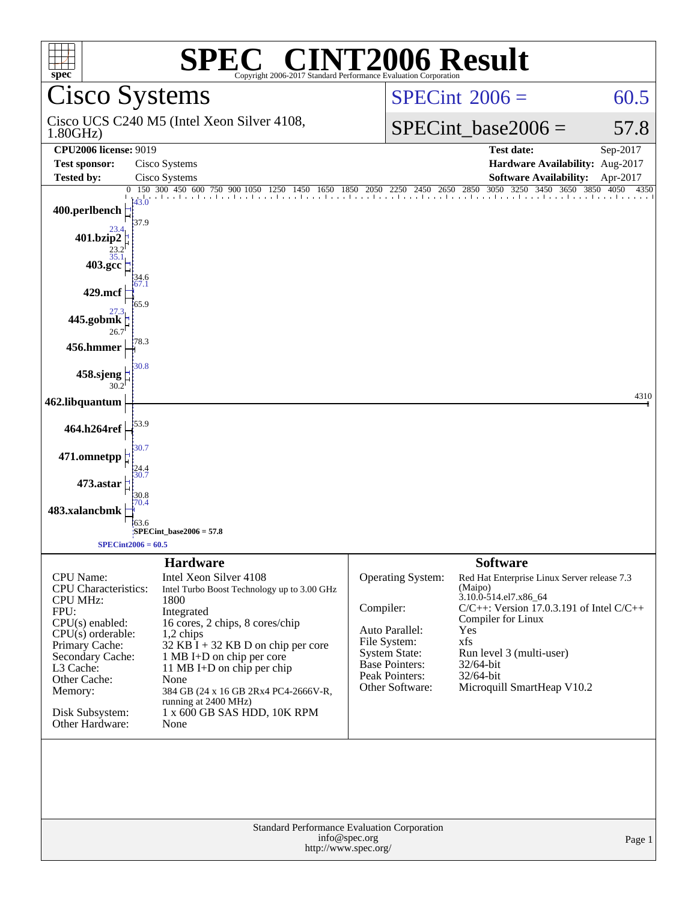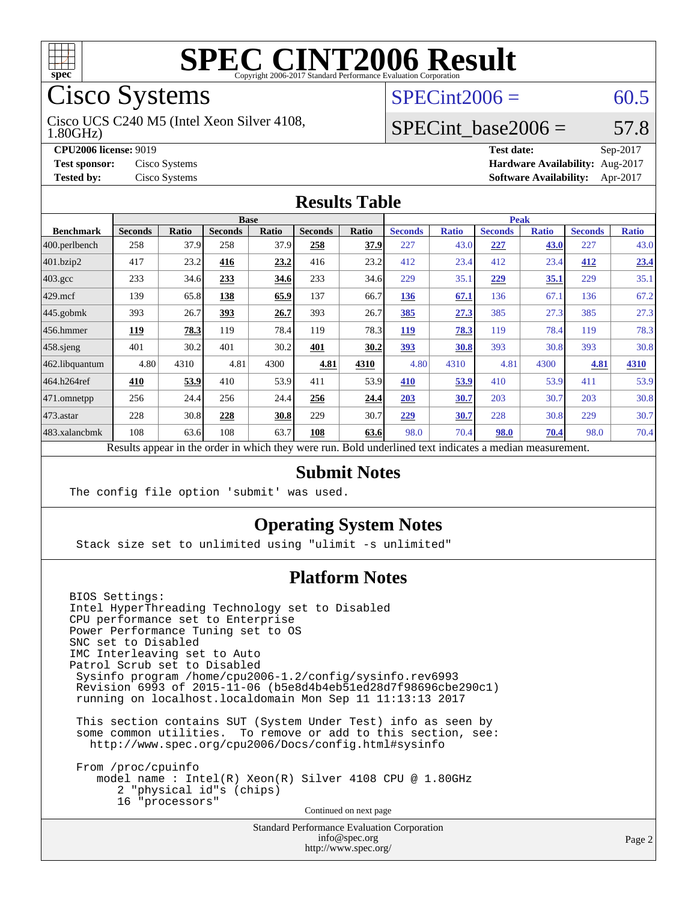

# Cisco Systems

1.80GHz) Cisco UCS C240 M5 (Intel Xeon Silver 4108,

#### $SPECint2006 = 60.5$  $SPECint2006 = 60.5$

#### SPECint base2006 =  $57.8$

**[CPU2006 license:](http://www.spec.org/auto/cpu2006/Docs/result-fields.html#CPU2006license)** 9019 **[Test date:](http://www.spec.org/auto/cpu2006/Docs/result-fields.html#Testdate)** Sep-2017 **[Test sponsor:](http://www.spec.org/auto/cpu2006/Docs/result-fields.html#Testsponsor)** Cisco Systems **[Hardware Availability:](http://www.spec.org/auto/cpu2006/Docs/result-fields.html#HardwareAvailability)** Aug-2017 **[Tested by:](http://www.spec.org/auto/cpu2006/Docs/result-fields.html#Testedby)** Cisco Systems **[Software Availability:](http://www.spec.org/auto/cpu2006/Docs/result-fields.html#SoftwareAvailability)** Apr-2017

#### **[Results Table](http://www.spec.org/auto/cpu2006/Docs/result-fields.html#ResultsTable)**

|                  | <b>Base</b>                                                                                              |              |                |              |                |       | <b>Peak</b>    |              |                |              |                |              |
|------------------|----------------------------------------------------------------------------------------------------------|--------------|----------------|--------------|----------------|-------|----------------|--------------|----------------|--------------|----------------|--------------|
| <b>Benchmark</b> | <b>Seconds</b>                                                                                           | <b>Ratio</b> | <b>Seconds</b> | <b>Ratio</b> | <b>Seconds</b> | Ratio | <b>Seconds</b> | <b>Ratio</b> | <b>Seconds</b> | <b>Ratio</b> | <b>Seconds</b> | <b>Ratio</b> |
| 400.perlbench    | 258                                                                                                      | 37.9         | 258            | 37.9         | 258            | 37.9  | 227            | 43.0         | 227            | 43.0         | 227            | 43.0         |
| $401$ .bzip2     | 417                                                                                                      | 23.2         | 416            | 23.2         | 416            | 23.2  | 412            | 23.4         | 412            | 23.4         | 412            | 23.4         |
| $403.\text{gcc}$ | 233                                                                                                      | 34.6         | 233            | 34.6         | 233            | 34.6  | 229            | 35.1         | 229            | 35.1         | 229            | 35.1         |
| $429$ mcf        | 139                                                                                                      | 65.8         | 138            | 65.9         | 137            | 66.7  | 136            | 67.1         | 136            | 67.1         | 136            | 67.2         |
| $445$ .gobmk     | 393                                                                                                      | 26.7         | 393            | 26.7         | 393            | 26.7  | 385            | 27.3         | 385            | 27.3         | 385            | 27.3         |
| $456.$ hmmer     | 119                                                                                                      | 78.3         | 119            | 78.4         | 119            | 78.3  | 119            | 78.3         | 119            | 78.4         | 119            | 78.3         |
| $458$ .sjeng     | 401                                                                                                      | 30.2         | 401            | 30.2         | 401            | 30.2  | <u>393</u>     | 30.8         | 393            | 30.8         | 393            | 30.8         |
| 462.libquantum   | 4.80                                                                                                     | 4310         | 4.81           | 4300         | 4.81           | 4310  | 4.80           | 4310         | 4.81           | 4300         | 4.81           | 4310         |
| 464.h264ref      | 410                                                                                                      | 53.9         | 410            | 53.9         | 411            | 53.9  | 410            | 53.9         | 410            | 53.9         | 411            | 53.9         |
| 471.omnetpp      | 256                                                                                                      | 24.4         | 256            | 24.4         | 256            | 24.4  | 203            | 30.7         | 203            | 30.7         | 203            | 30.8         |
| $473$ . astar    | 228                                                                                                      | 30.8         | 228            | 30.8         | 229            | 30.7  | 229            | 30.7         | 228            | 30.8         | 229            | 30.7         |
| 483.xalancbmk    | 108                                                                                                      | 63.6         | 108            | 63.7         | 108            | 63.6  | 98.0           | 70.4         | 98.0           | 70.4         | 98.0           | 70.4         |
|                  | Results appear in the order in which they were run. Bold underlined text indicates a median measurement. |              |                |              |                |       |                |              |                |              |                |              |

#### **[Submit Notes](http://www.spec.org/auto/cpu2006/Docs/result-fields.html#SubmitNotes)**

The config file option 'submit' was used.

#### **[Operating System Notes](http://www.spec.org/auto/cpu2006/Docs/result-fields.html#OperatingSystemNotes)**

Stack size set to unlimited using "ulimit -s unlimited"

#### **[Platform Notes](http://www.spec.org/auto/cpu2006/Docs/result-fields.html#PlatformNotes)**

BIOS Settings: Intel HyperThreading Technology set to Disabled CPU performance set to Enterprise Power Performance Tuning set to OS SNC set to Disabled IMC Interleaving set to Auto Patrol Scrub set to Disabled Sysinfo program /home/cpu2006-1.2/config/sysinfo.rev6993 Revision 6993 of 2015-11-06 (b5e8d4b4eb51ed28d7f98696cbe290c1) running on localhost.localdomain Mon Sep 11 11:13:13 2017 This section contains SUT (System Under Test) info as seen by some common utilities. To remove or add to this section, see: <http://www.spec.org/cpu2006/Docs/config.html#sysinfo> From /proc/cpuinfo model name : Intel(R) Xeon(R) Silver 4108 CPU @ 1.80GHz 2 "physical id"s (chips) 16 "processors"

Continued on next page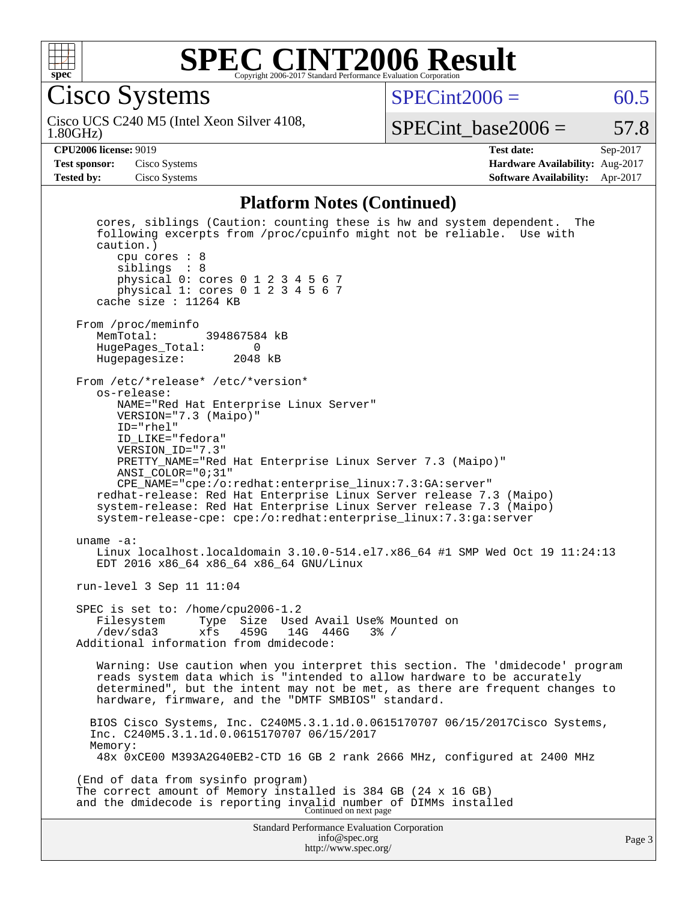

Cisco Systems

 $SPECint2006 = 60.5$  $SPECint2006 = 60.5$ 

1.80GHz) Cisco UCS C240 M5 (Intel Xeon Silver 4108,

SPECint base2006 =  $57.8$ 

**[CPU2006 license:](http://www.spec.org/auto/cpu2006/Docs/result-fields.html#CPU2006license)** 9019 **[Test date:](http://www.spec.org/auto/cpu2006/Docs/result-fields.html#Testdate)** Sep-2017 **[Test sponsor:](http://www.spec.org/auto/cpu2006/Docs/result-fields.html#Testsponsor)** Cisco Systems **[Hardware Availability:](http://www.spec.org/auto/cpu2006/Docs/result-fields.html#HardwareAvailability)** Aug-2017 **[Tested by:](http://www.spec.org/auto/cpu2006/Docs/result-fields.html#Testedby)** Cisco Systems **[Software Availability:](http://www.spec.org/auto/cpu2006/Docs/result-fields.html#SoftwareAvailability)** Apr-2017

#### **[Platform Notes \(Continued\)](http://www.spec.org/auto/cpu2006/Docs/result-fields.html#PlatformNotes)**

Standard Performance Evaluation Corporation [info@spec.org](mailto:info@spec.org) <http://www.spec.org/> Page 3 cores, siblings (Caution: counting these is hw and system dependent. The following excerpts from /proc/cpuinfo might not be reliable. Use with caution.) cpu cores : 8 siblings : 8 physical 0: cores 0 1 2 3 4 5 6 7 physical 1: cores 0 1 2 3 4 5 6 7 cache size : 11264 KB From /proc/meminfo<br>MemTotal: 394867584 kB HugePages\_Total: 0 Hugepagesize: 2048 kB From /etc/\*release\* /etc/\*version\* os-release: NAME="Red Hat Enterprise Linux Server" VERSION="7.3 (Maipo)" ID="rhel" ID\_LIKE="fedora" VERSION\_ID="7.3" PRETTY\_NAME="Red Hat Enterprise Linux Server 7.3 (Maipo)" ANSI\_COLOR="0;31" CPE\_NAME="cpe:/o:redhat:enterprise\_linux:7.3:GA:server" redhat-release: Red Hat Enterprise Linux Server release 7.3 (Maipo) system-release: Red Hat Enterprise Linux Server release 7.3 (Maipo) system-release-cpe: cpe:/o:redhat:enterprise\_linux:7.3:ga:server uname -a: Linux localhost.localdomain 3.10.0-514.el7.x86\_64 #1 SMP Wed Oct 19 11:24:13 EDT 2016 x86\_64 x86\_64 x86\_64 GNU/Linux run-level 3 Sep 11 11:04 SPEC is set to: /home/cpu2006-1.2 Filesystem Type Size Used Avail Use% Mounted on<br>/dev/sda3 xfs 459G 14G 446G 3% / /dev/sda3 xfs 459G 14G 446G 3% / Additional information from dmidecode: Warning: Use caution when you interpret this section. The 'dmidecode' program reads system data which is "intended to allow hardware to be accurately determined", but the intent may not be met, as there are frequent changes to hardware, firmware, and the "DMTF SMBIOS" standard. BIOS Cisco Systems, Inc. C240M5.3.1.1d.0.0615170707 06/15/2017Cisco Systems, Inc. C240M5.3.1.1d.0.0615170707 06/15/2017 Memory: 48x 0xCE00 M393A2G40EB2-CTD 16 GB 2 rank 2666 MHz, configured at 2400 MHz (End of data from sysinfo program) The correct amount of Memory installed is 384 GB (24 x 16 GB) and the dmidecode is reporting invalid number of DIMMs installed Continued on next page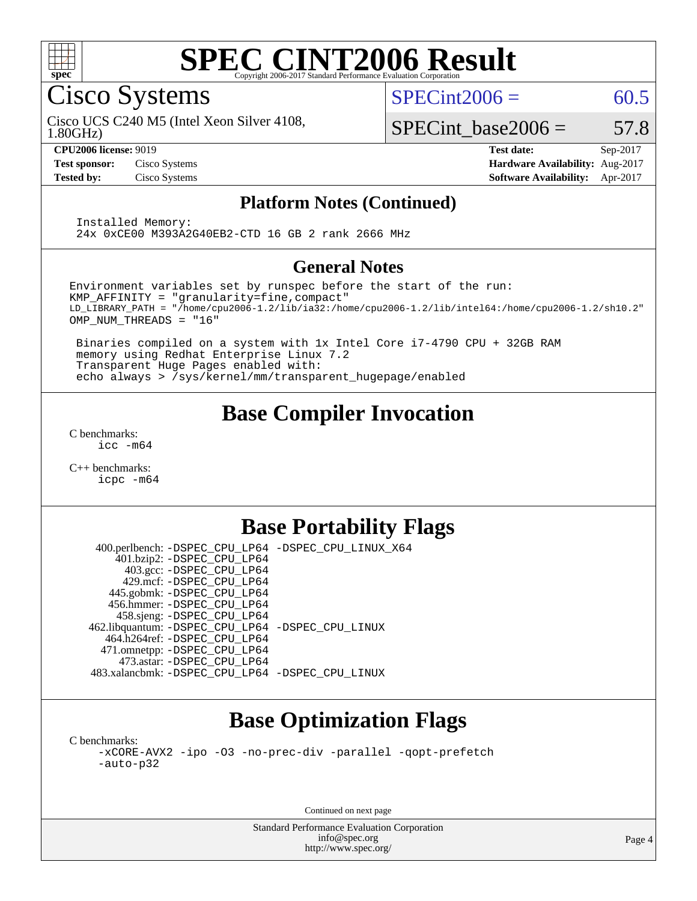

Cisco Systems

 $SPECint2006 = 60.5$  $SPECint2006 = 60.5$ 

1.80GHz) Cisco UCS C240 M5 (Intel Xeon Silver 4108,

**[Test sponsor:](http://www.spec.org/auto/cpu2006/Docs/result-fields.html#Testsponsor)** Cisco Systems **[Hardware Availability:](http://www.spec.org/auto/cpu2006/Docs/result-fields.html#HardwareAvailability)** Aug-2017

SPECint base2006 =  $57.8$ 

**[CPU2006 license:](http://www.spec.org/auto/cpu2006/Docs/result-fields.html#CPU2006license)** 9019 **[Test date:](http://www.spec.org/auto/cpu2006/Docs/result-fields.html#Testdate)** Sep-2017 **[Tested by:](http://www.spec.org/auto/cpu2006/Docs/result-fields.html#Testedby)** Cisco Systems **[Software Availability:](http://www.spec.org/auto/cpu2006/Docs/result-fields.html#SoftwareAvailability)** Apr-2017

#### **[Platform Notes \(Continued\)](http://www.spec.org/auto/cpu2006/Docs/result-fields.html#PlatformNotes)**

 Installed Memory: 24x 0xCE00 M393A2G40EB2-CTD 16 GB 2 rank 2666 MHz

#### **[General Notes](http://www.spec.org/auto/cpu2006/Docs/result-fields.html#GeneralNotes)**

Environment variables set by runspec before the start of the run: KMP\_AFFINITY = "granularity=fine,compact" LD\_LIBRARY\_PATH = "/home/cpu2006-1.2/lib/ia32:/home/cpu2006-1.2/lib/intel64:/home/cpu2006-1.2/sh10.2" OMP\_NUM\_THREADS = "16"

 Binaries compiled on a system with 1x Intel Core i7-4790 CPU + 32GB RAM memory using Redhat Enterprise Linux 7.2 Transparent Huge Pages enabled with: echo always > /sys/kernel/mm/transparent\_hugepage/enabled

### **[Base Compiler Invocation](http://www.spec.org/auto/cpu2006/Docs/result-fields.html#BaseCompilerInvocation)**

[C benchmarks](http://www.spec.org/auto/cpu2006/Docs/result-fields.html#Cbenchmarks): [icc -m64](http://www.spec.org/cpu2006/results/res2017q4/cpu2006-20170919-50239.flags.html#user_CCbase_intel_icc_64bit_bda6cc9af1fdbb0edc3795bac97ada53)

[C++ benchmarks:](http://www.spec.org/auto/cpu2006/Docs/result-fields.html#CXXbenchmarks) [icpc -m64](http://www.spec.org/cpu2006/results/res2017q4/cpu2006-20170919-50239.flags.html#user_CXXbase_intel_icpc_64bit_fc66a5337ce925472a5c54ad6a0de310)

### **[Base Portability Flags](http://www.spec.org/auto/cpu2006/Docs/result-fields.html#BasePortabilityFlags)**

 400.perlbench: [-DSPEC\\_CPU\\_LP64](http://www.spec.org/cpu2006/results/res2017q4/cpu2006-20170919-50239.flags.html#b400.perlbench_basePORTABILITY_DSPEC_CPU_LP64) [-DSPEC\\_CPU\\_LINUX\\_X64](http://www.spec.org/cpu2006/results/res2017q4/cpu2006-20170919-50239.flags.html#b400.perlbench_baseCPORTABILITY_DSPEC_CPU_LINUX_X64) 401.bzip2: [-DSPEC\\_CPU\\_LP64](http://www.spec.org/cpu2006/results/res2017q4/cpu2006-20170919-50239.flags.html#suite_basePORTABILITY401_bzip2_DSPEC_CPU_LP64) 403.gcc: [-DSPEC\\_CPU\\_LP64](http://www.spec.org/cpu2006/results/res2017q4/cpu2006-20170919-50239.flags.html#suite_basePORTABILITY403_gcc_DSPEC_CPU_LP64) 429.mcf: [-DSPEC\\_CPU\\_LP64](http://www.spec.org/cpu2006/results/res2017q4/cpu2006-20170919-50239.flags.html#suite_basePORTABILITY429_mcf_DSPEC_CPU_LP64) 445.gobmk: [-DSPEC\\_CPU\\_LP64](http://www.spec.org/cpu2006/results/res2017q4/cpu2006-20170919-50239.flags.html#suite_basePORTABILITY445_gobmk_DSPEC_CPU_LP64) 456.hmmer: [-DSPEC\\_CPU\\_LP64](http://www.spec.org/cpu2006/results/res2017q4/cpu2006-20170919-50239.flags.html#suite_basePORTABILITY456_hmmer_DSPEC_CPU_LP64) 458.sjeng: [-DSPEC\\_CPU\\_LP64](http://www.spec.org/cpu2006/results/res2017q4/cpu2006-20170919-50239.flags.html#suite_basePORTABILITY458_sjeng_DSPEC_CPU_LP64) 462.libquantum: [-DSPEC\\_CPU\\_LP64](http://www.spec.org/cpu2006/results/res2017q4/cpu2006-20170919-50239.flags.html#suite_basePORTABILITY462_libquantum_DSPEC_CPU_LP64) [-DSPEC\\_CPU\\_LINUX](http://www.spec.org/cpu2006/results/res2017q4/cpu2006-20170919-50239.flags.html#b462.libquantum_baseCPORTABILITY_DSPEC_CPU_LINUX) 464.h264ref: [-DSPEC\\_CPU\\_LP64](http://www.spec.org/cpu2006/results/res2017q4/cpu2006-20170919-50239.flags.html#suite_basePORTABILITY464_h264ref_DSPEC_CPU_LP64) 471.omnetpp: [-DSPEC\\_CPU\\_LP64](http://www.spec.org/cpu2006/results/res2017q4/cpu2006-20170919-50239.flags.html#suite_basePORTABILITY471_omnetpp_DSPEC_CPU_LP64) 473.astar: [-DSPEC\\_CPU\\_LP64](http://www.spec.org/cpu2006/results/res2017q4/cpu2006-20170919-50239.flags.html#suite_basePORTABILITY473_astar_DSPEC_CPU_LP64) 483.xalancbmk: [-DSPEC\\_CPU\\_LP64](http://www.spec.org/cpu2006/results/res2017q4/cpu2006-20170919-50239.flags.html#suite_basePORTABILITY483_xalancbmk_DSPEC_CPU_LP64) [-DSPEC\\_CPU\\_LINUX](http://www.spec.org/cpu2006/results/res2017q4/cpu2006-20170919-50239.flags.html#b483.xalancbmk_baseCXXPORTABILITY_DSPEC_CPU_LINUX)

## **[Base Optimization Flags](http://www.spec.org/auto/cpu2006/Docs/result-fields.html#BaseOptimizationFlags)**

[C benchmarks](http://www.spec.org/auto/cpu2006/Docs/result-fields.html#Cbenchmarks): [-xCORE-AVX2](http://www.spec.org/cpu2006/results/res2017q4/cpu2006-20170919-50239.flags.html#user_CCbase_f-xCORE-AVX2) [-ipo](http://www.spec.org/cpu2006/results/res2017q4/cpu2006-20170919-50239.flags.html#user_CCbase_f-ipo) [-O3](http://www.spec.org/cpu2006/results/res2017q4/cpu2006-20170919-50239.flags.html#user_CCbase_f-O3) [-no-prec-div](http://www.spec.org/cpu2006/results/res2017q4/cpu2006-20170919-50239.flags.html#user_CCbase_f-no-prec-div) [-parallel](http://www.spec.org/cpu2006/results/res2017q4/cpu2006-20170919-50239.flags.html#user_CCbase_f-parallel) [-qopt-prefetch](http://www.spec.org/cpu2006/results/res2017q4/cpu2006-20170919-50239.flags.html#user_CCbase_f-qopt-prefetch) [-auto-p32](http://www.spec.org/cpu2006/results/res2017q4/cpu2006-20170919-50239.flags.html#user_CCbase_f-auto-p32)

Continued on next page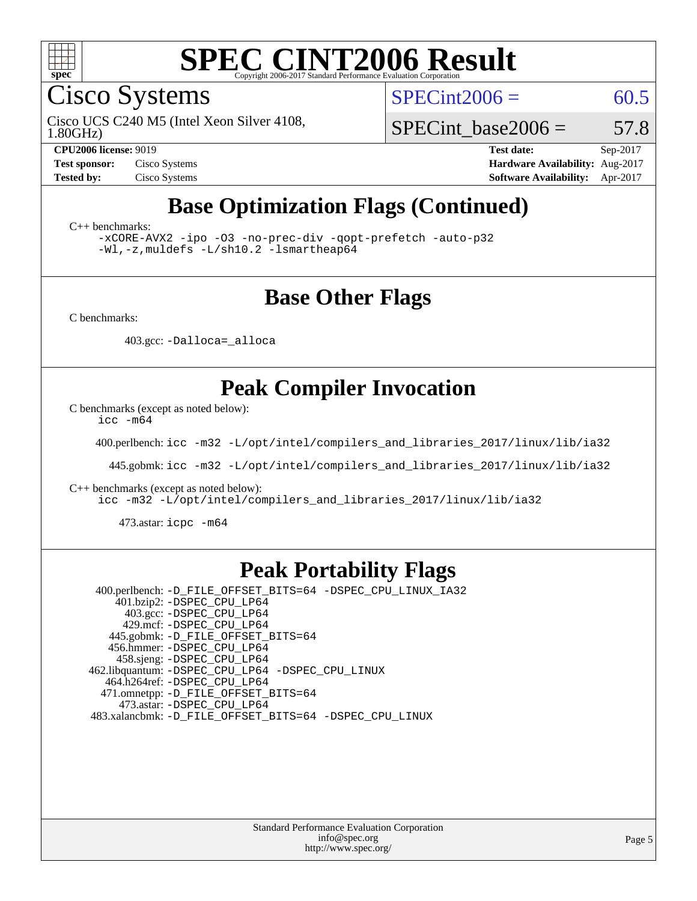

Cisco Systems

 $SPECint2006 = 60.5$  $SPECint2006 = 60.5$ 

1.80GHz) Cisco UCS C240 M5 (Intel Xeon Silver 4108,

SPECint base2006 =  $57.8$ 

**[CPU2006 license:](http://www.spec.org/auto/cpu2006/Docs/result-fields.html#CPU2006license)** 9019 **[Test date:](http://www.spec.org/auto/cpu2006/Docs/result-fields.html#Testdate)** Sep-2017 **[Test sponsor:](http://www.spec.org/auto/cpu2006/Docs/result-fields.html#Testsponsor)** Cisco Systems **[Hardware Availability:](http://www.spec.org/auto/cpu2006/Docs/result-fields.html#HardwareAvailability)** Aug-2017 **[Tested by:](http://www.spec.org/auto/cpu2006/Docs/result-fields.html#Testedby)** Cisco Systems **[Software Availability:](http://www.spec.org/auto/cpu2006/Docs/result-fields.html#SoftwareAvailability)** Apr-2017

### **[Base Optimization Flags \(Continued\)](http://www.spec.org/auto/cpu2006/Docs/result-fields.html#BaseOptimizationFlags)**

[C++ benchmarks:](http://www.spec.org/auto/cpu2006/Docs/result-fields.html#CXXbenchmarks)

[-xCORE-AVX2](http://www.spec.org/cpu2006/results/res2017q4/cpu2006-20170919-50239.flags.html#user_CXXbase_f-xCORE-AVX2) [-ipo](http://www.spec.org/cpu2006/results/res2017q4/cpu2006-20170919-50239.flags.html#user_CXXbase_f-ipo) [-O3](http://www.spec.org/cpu2006/results/res2017q4/cpu2006-20170919-50239.flags.html#user_CXXbase_f-O3) [-no-prec-div](http://www.spec.org/cpu2006/results/res2017q4/cpu2006-20170919-50239.flags.html#user_CXXbase_f-no-prec-div) [-qopt-prefetch](http://www.spec.org/cpu2006/results/res2017q4/cpu2006-20170919-50239.flags.html#user_CXXbase_f-qopt-prefetch) [-auto-p32](http://www.spec.org/cpu2006/results/res2017q4/cpu2006-20170919-50239.flags.html#user_CXXbase_f-auto-p32) [-Wl,-z,muldefs](http://www.spec.org/cpu2006/results/res2017q4/cpu2006-20170919-50239.flags.html#user_CXXbase_link_force_multiple1_74079c344b956b9658436fd1b6dd3a8a) [-L/sh10.2 -lsmartheap64](http://www.spec.org/cpu2006/results/res2017q4/cpu2006-20170919-50239.flags.html#user_CXXbase_SmartHeap64_63911d860fc08c15fa1d5bf319b9d8d5)

#### **[Base Other Flags](http://www.spec.org/auto/cpu2006/Docs/result-fields.html#BaseOtherFlags)**

[C benchmarks](http://www.spec.org/auto/cpu2006/Docs/result-fields.html#Cbenchmarks):

403.gcc: [-Dalloca=\\_alloca](http://www.spec.org/cpu2006/results/res2017q4/cpu2006-20170919-50239.flags.html#b403.gcc_baseEXTRA_CFLAGS_Dalloca_be3056838c12de2578596ca5467af7f3)

### **[Peak Compiler Invocation](http://www.spec.org/auto/cpu2006/Docs/result-fields.html#PeakCompilerInvocation)**

[C benchmarks \(except as noted below\)](http://www.spec.org/auto/cpu2006/Docs/result-fields.html#Cbenchmarksexceptasnotedbelow):

[icc -m64](http://www.spec.org/cpu2006/results/res2017q4/cpu2006-20170919-50239.flags.html#user_CCpeak_intel_icc_64bit_bda6cc9af1fdbb0edc3795bac97ada53)

400.perlbench: [icc -m32 -L/opt/intel/compilers\\_and\\_libraries\\_2017/linux/lib/ia32](http://www.spec.org/cpu2006/results/res2017q4/cpu2006-20170919-50239.flags.html#user_peakCCLD400_perlbench_intel_icc_c29f3ff5a7ed067b11e4ec10a03f03ae)

445.gobmk: [icc -m32 -L/opt/intel/compilers\\_and\\_libraries\\_2017/linux/lib/ia32](http://www.spec.org/cpu2006/results/res2017q4/cpu2006-20170919-50239.flags.html#user_peakCCLD445_gobmk_intel_icc_c29f3ff5a7ed067b11e4ec10a03f03ae)

[C++ benchmarks \(except as noted below\):](http://www.spec.org/auto/cpu2006/Docs/result-fields.html#CXXbenchmarksexceptasnotedbelow)

[icc -m32 -L/opt/intel/compilers\\_and\\_libraries\\_2017/linux/lib/ia32](http://www.spec.org/cpu2006/results/res2017q4/cpu2006-20170919-50239.flags.html#user_CXXpeak_intel_icc_c29f3ff5a7ed067b11e4ec10a03f03ae)

473.astar: [icpc -m64](http://www.spec.org/cpu2006/results/res2017q4/cpu2006-20170919-50239.flags.html#user_peakCXXLD473_astar_intel_icpc_64bit_fc66a5337ce925472a5c54ad6a0de310)

#### **[Peak Portability Flags](http://www.spec.org/auto/cpu2006/Docs/result-fields.html#PeakPortabilityFlags)**

 400.perlbench: [-D\\_FILE\\_OFFSET\\_BITS=64](http://www.spec.org/cpu2006/results/res2017q4/cpu2006-20170919-50239.flags.html#user_peakPORTABILITY400_perlbench_file_offset_bits_64_438cf9856305ebd76870a2c6dc2689ab) [-DSPEC\\_CPU\\_LINUX\\_IA32](http://www.spec.org/cpu2006/results/res2017q4/cpu2006-20170919-50239.flags.html#b400.perlbench_peakCPORTABILITY_DSPEC_CPU_LINUX_IA32) 401.bzip2: [-DSPEC\\_CPU\\_LP64](http://www.spec.org/cpu2006/results/res2017q4/cpu2006-20170919-50239.flags.html#suite_peakPORTABILITY401_bzip2_DSPEC_CPU_LP64) 403.gcc: [-DSPEC\\_CPU\\_LP64](http://www.spec.org/cpu2006/results/res2017q4/cpu2006-20170919-50239.flags.html#suite_peakPORTABILITY403_gcc_DSPEC_CPU_LP64) 429.mcf: [-DSPEC\\_CPU\\_LP64](http://www.spec.org/cpu2006/results/res2017q4/cpu2006-20170919-50239.flags.html#suite_peakPORTABILITY429_mcf_DSPEC_CPU_LP64) 445.gobmk: [-D\\_FILE\\_OFFSET\\_BITS=64](http://www.spec.org/cpu2006/results/res2017q4/cpu2006-20170919-50239.flags.html#user_peakPORTABILITY445_gobmk_file_offset_bits_64_438cf9856305ebd76870a2c6dc2689ab) 456.hmmer: [-DSPEC\\_CPU\\_LP64](http://www.spec.org/cpu2006/results/res2017q4/cpu2006-20170919-50239.flags.html#suite_peakPORTABILITY456_hmmer_DSPEC_CPU_LP64) 458.sjeng: [-DSPEC\\_CPU\\_LP64](http://www.spec.org/cpu2006/results/res2017q4/cpu2006-20170919-50239.flags.html#suite_peakPORTABILITY458_sjeng_DSPEC_CPU_LP64) 462.libquantum: [-DSPEC\\_CPU\\_LP64](http://www.spec.org/cpu2006/results/res2017q4/cpu2006-20170919-50239.flags.html#suite_peakPORTABILITY462_libquantum_DSPEC_CPU_LP64) [-DSPEC\\_CPU\\_LINUX](http://www.spec.org/cpu2006/results/res2017q4/cpu2006-20170919-50239.flags.html#b462.libquantum_peakCPORTABILITY_DSPEC_CPU_LINUX) 464.h264ref: [-DSPEC\\_CPU\\_LP64](http://www.spec.org/cpu2006/results/res2017q4/cpu2006-20170919-50239.flags.html#suite_peakPORTABILITY464_h264ref_DSPEC_CPU_LP64) 471.omnetpp: [-D\\_FILE\\_OFFSET\\_BITS=64](http://www.spec.org/cpu2006/results/res2017q4/cpu2006-20170919-50239.flags.html#user_peakPORTABILITY471_omnetpp_file_offset_bits_64_438cf9856305ebd76870a2c6dc2689ab) 473.astar: [-DSPEC\\_CPU\\_LP64](http://www.spec.org/cpu2006/results/res2017q4/cpu2006-20170919-50239.flags.html#suite_peakPORTABILITY473_astar_DSPEC_CPU_LP64) 483.xalancbmk: [-D\\_FILE\\_OFFSET\\_BITS=64](http://www.spec.org/cpu2006/results/res2017q4/cpu2006-20170919-50239.flags.html#user_peakPORTABILITY483_xalancbmk_file_offset_bits_64_438cf9856305ebd76870a2c6dc2689ab) [-DSPEC\\_CPU\\_LINUX](http://www.spec.org/cpu2006/results/res2017q4/cpu2006-20170919-50239.flags.html#b483.xalancbmk_peakCXXPORTABILITY_DSPEC_CPU_LINUX)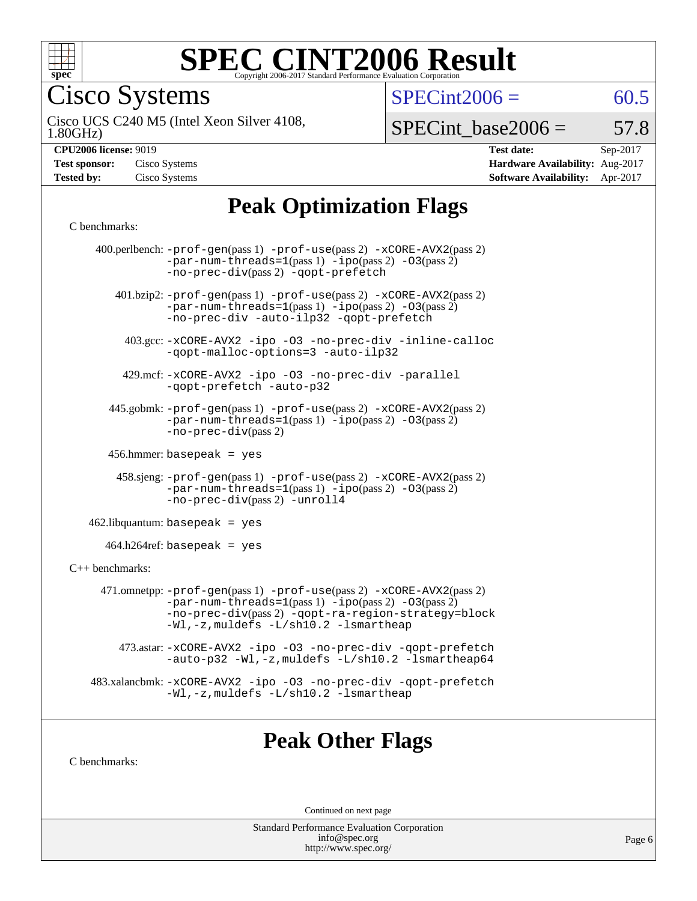

Cisco Systems

 $SPECint2006 = 60.5$  $SPECint2006 = 60.5$ 

1.80GHz) Cisco UCS C240 M5 (Intel Xeon Silver 4108,

 $SPECTnt\_base2006 = 57.8$ 

**[CPU2006 license:](http://www.spec.org/auto/cpu2006/Docs/result-fields.html#CPU2006license)** 9019 **[Test date:](http://www.spec.org/auto/cpu2006/Docs/result-fields.html#Testdate)** Sep-2017 **[Test sponsor:](http://www.spec.org/auto/cpu2006/Docs/result-fields.html#Testsponsor)** Cisco Systems **[Hardware Availability:](http://www.spec.org/auto/cpu2006/Docs/result-fields.html#HardwareAvailability)** Aug-2017 **[Tested by:](http://www.spec.org/auto/cpu2006/Docs/result-fields.html#Testedby)** Cisco Systems **[Software Availability:](http://www.spec.org/auto/cpu2006/Docs/result-fields.html#SoftwareAvailability)** Apr-2017

# **[Peak Optimization Flags](http://www.spec.org/auto/cpu2006/Docs/result-fields.html#PeakOptimizationFlags)**

#### [C benchmarks](http://www.spec.org/auto/cpu2006/Docs/result-fields.html#Cbenchmarks):

|                              | 400.perlbench: $-prof-gen(pass 1)$ $-prof-use(pass 2)$ $-xCORE-AVX2(pass 2)$<br>$-par-num-threads=1(pass 1) -ipo(pass 2) -03(pass 2)$<br>-no-prec-div(pass 2) -qopt-prefetch                                                  |  |  |  |  |  |
|------------------------------|-------------------------------------------------------------------------------------------------------------------------------------------------------------------------------------------------------------------------------|--|--|--|--|--|
|                              | 401.bzip2: -prof-gen(pass 1) -prof-use(pass 2) -xCORE-AVX2(pass 2)<br>$-par-num-threads=1(pass 1) -ipo(pass 2) -03(pass 2)$<br>-no-prec-div -auto-ilp32 -qopt-prefetch                                                        |  |  |  |  |  |
|                              | 403.gcc: -xCORE-AVX2 -ipo -03 -no-prec-div -inline-calloc<br>-qopt-malloc-options=3 -auto-ilp32                                                                                                                               |  |  |  |  |  |
|                              | 429.mcf: -xCORE-AVX2 -ipo -03 -no-prec-div -parallel<br>-gopt-prefetch -auto-p32                                                                                                                                              |  |  |  |  |  |
|                              | 445.gobmk: -prof-gen(pass 1) -prof-use(pass 2) -xCORE-AVX2(pass 2)<br>$-par-num-threads=1(pass 1) -ipo(pass 2) -03(pass 2)$<br>$-no-prec-div(pass 2)$                                                                         |  |  |  |  |  |
| $456.$ hmmer: basepeak = yes |                                                                                                                                                                                                                               |  |  |  |  |  |
|                              | 458.sjeng: -prof-gen(pass 1) -prof-use(pass 2) -xCORE-AVX2(pass 2)<br>$-par-num-threads=1(pass 1) -ipo(pass 2) -03(pass 2)$<br>-no-prec-div(pass 2) -unroll4                                                                  |  |  |  |  |  |
|                              | $462$ .libquantum: basepeak = yes                                                                                                                                                                                             |  |  |  |  |  |
|                              | $464.h264 \text{ref}$ : basepeak = yes                                                                                                                                                                                        |  |  |  |  |  |
| $C_{++}$ benchmarks:         |                                                                                                                                                                                                                               |  |  |  |  |  |
|                              | 471.omnetpp: -prof-gen(pass 1) -prof-use(pass 2) -xCORE-AVX2(pass 2)<br>$-par-num-threads=1(pass 1) -ipo(pass 2) -03(pass 2)$<br>-no-prec-div(pass 2) -qopt-ra-region-strategy=block<br>-Wl,-z, muldefs -L/sh10.2 -lsmartheap |  |  |  |  |  |
|                              | 473.astar: -xCORE-AVX2 -ipo -03 -no-prec-div -qopt-prefetch<br>-auto-p32 -Wl,-z, muldefs -L/sh10.2 -lsmartheap64                                                                                                              |  |  |  |  |  |
|                              | 483.xalancbmk: -xCORE-AVX2 -ipo -03 -no-prec-div -qopt-prefetch<br>-Wl,-z, muldefs -L/sh10.2 -lsmartheap                                                                                                                      |  |  |  |  |  |
|                              |                                                                                                                                                                                                                               |  |  |  |  |  |

### **[Peak Other Flags](http://www.spec.org/auto/cpu2006/Docs/result-fields.html#PeakOtherFlags)**

[C benchmarks](http://www.spec.org/auto/cpu2006/Docs/result-fields.html#Cbenchmarks):

Continued on next page